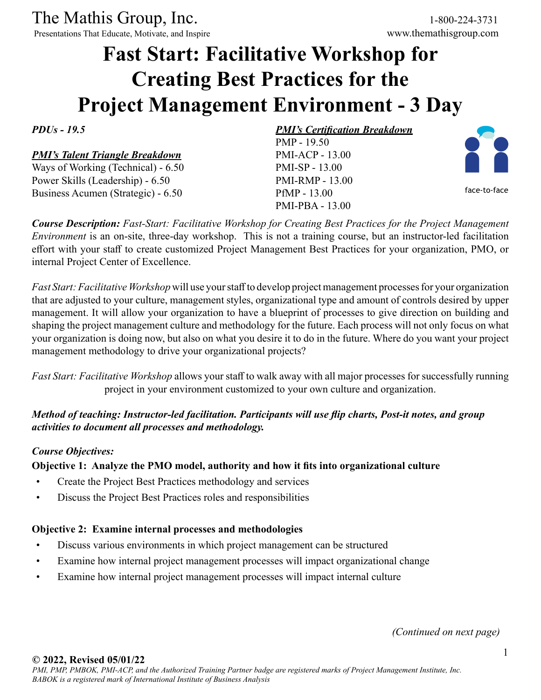The Mathis Group, Inc. 1-800-224-3731<br>
Presentations That Educate, Motivate, and Inspire www.themathisgroup.com

Presentations That Educate, Motivate, and Inspire

# **Fast Start: Facilitative Workshop for Creating Best Practices for the Project Management Environment - 3 Day**

*PDUs - 19.5*

# *PMI's Talent Triangle Breakdown*

Ways of Working (Technical) - 6.50 Power Skills (Leadership) - 6.50 Business Acumen (Strategic) - 6.50

*PMI's Certification Breakdown* PMP - 19.50 PMI-ACP - 13.00 PMI-SP - 13.00 PMI-RMP - 13.00 PfMP - 13.00 PMI-PBA - 13.00



face-to-face

*Course Description: Fast-Start: Facilitative Workshop for Creating Best Practices for the Project Management Environment* is an on-site, three-day workshop. This is not a training course, but an instructor-led facilitation effort with your staff to create customized Project Management Best Practices for your organization, PMO, or internal Project Center of Excellence.

*Fast Start: Facilitative Workshop* will use your staff to develop project management processes for your organization that are adjusted to your culture, management styles, organizational type and amount of controls desired by upper management. It will allow your organization to have a blueprint of processes to give direction on building and shaping the project management culture and methodology for the future. Each process will not only focus on what your organization is doing now, but also on what you desire it to do in the future. Where do you want your project management methodology to drive your organizational projects?

*Fast Start: Facilitative Workshop* allows your staff to walk away with all major processes for successfully running project in your environment customized to your own culture and organization.

# *Method of teaching: Instructor-led facilitation. Participants will use flip charts, Post-it notes, and group activities to document all processes and methodology.*

#### *Course Objectives:*

## **Objective 1: Analyze the PMO model, authority and how it fits into organizational culture**

- Create the Project Best Practices methodology and services
- Discuss the Project Best Practices roles and responsibilities

## **Objective 2: Examine internal processes and methodologies**

- Discuss various environments in which project management can be structured
- Examine how internal project management processes will impact organizational change
- Examine how internal project management processes will impact internal culture

*(Continued on next page)*

#### **© 2022, Revised 05/01/22**